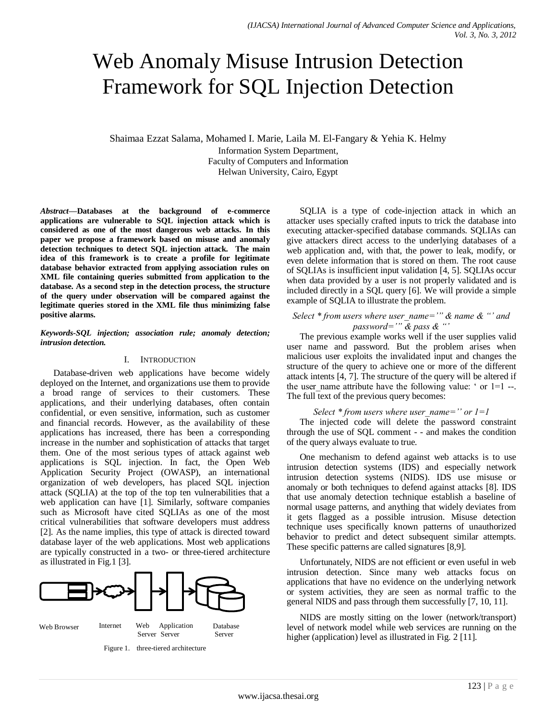# Web Anomaly Misuse Intrusion Detection Framework for SQL Injection Detection

Shaimaa Ezzat Salama, Mohamed I. Marie, Laila M. El-Fangary & Yehia K. Helmy

Information System Department, Faculty of Computers and Information Helwan University, Cairo, Egypt

*Abstract***—Databases at the background of e-commerce applications are vulnerable to SQL injection attack which is considered as one of the most dangerous web attacks. In this paper we propose a framework based on misuse and anomaly detection techniques to detect SQL injection attack. The main idea of this framework is to create a profile for legitimate database behavior extracted from applying association rules on XML file containing queries submitted from application to the database. As a second step in the detection process, the structure of the query under observation will be compared against the legitimate queries stored in the XML file thus minimizing false positive alarms.**

## *Keywords-SQL injection; association rule; anomaly detection; intrusion detection.*

## I. INTRODUCTION

Database-driven web applications have become widely deployed on the Internet, and organizations use them to provide a broad range of services to their customers. These applications, and their underlying databases, often contain confidential, or even sensitive, information, such as customer and financial records. However, as the availability of these applications has increased, there has been a corresponding increase in the number and sophistication of attacks that target them. One of the most serious types of attack against web applications is SQL injection. In fact, the Open Web Application Security Project (OWASP), an international organization of web developers, has placed SQL injection attack (SQLIA) at the top of the top ten vulnerabilities that a web application can have [1]. Similarly, software companies such as Microsoft have cited SQLIAs as one of the most critical vulnerabilities that software developers must address [2]. As the name implies, this type of attack is directed toward database layer of the web applications. Most web applications are typically constructed in a two- or three-tiered architecture as illustrated in Fig.1 [3].





SQLIA is a type of code-injection attack in which an attacker uses specially crafted inputs to trick the database into executing attacker-specified database commands. SQLIAs can give attackers direct access to the underlying databases of a web application and, with that, the power to leak, modify, or even delete information that is stored on them. The root cause of SQLIAs is insufficient input validation [4, 5]. SQLIAs occur when data provided by a user is not properly validated and is included directly in a SQL query [6]. We will provide a simple example of SQLIA to illustrate the problem.

# *Select \* from users where user\_name='" & name & "' and password='" & pass & "'*

The previous example works well if the user supplies valid user name and password. But the problem arises when malicious user exploits the invalidated input and changes the structure of the query to achieve one or more of the different attack intents [4, 7]. The structure of the query will be altered if the user name attribute have the following value: ' or  $1=1$  --. The full text of the previous query becomes:

## *Select \* from users where user name='' or 1=1*

The injected code will delete the password constraint through the use of SQL comment - - and makes the condition of the query always evaluate to true.

One mechanism to defend against web attacks is to use intrusion detection systems (IDS) and especially network intrusion detection systems (NIDS). IDS use misuse or anomaly or both techniques to defend against attacks [8]. IDS that use anomaly detection technique establish a baseline of normal usage patterns, and anything that widely deviates from it gets flagged as a possible intrusion. Misuse detection technique uses specifically known patterns of unauthorized behavior to predict and detect subsequent similar attempts. These specific patterns are called signatures [8,9].

Unfortunately, NIDS are not efficient or even useful in web intrusion detection. Since many web attacks focus on applications that have no evidence on the underlying network or system activities, they are seen as normal traffic to the general NIDS and pass through them successfully [7, 10, 11].

NIDS are mostly sitting on the lower (network/transport) level of network model while web services are running on the higher (application) level as illustrated in Fig. 2 [11].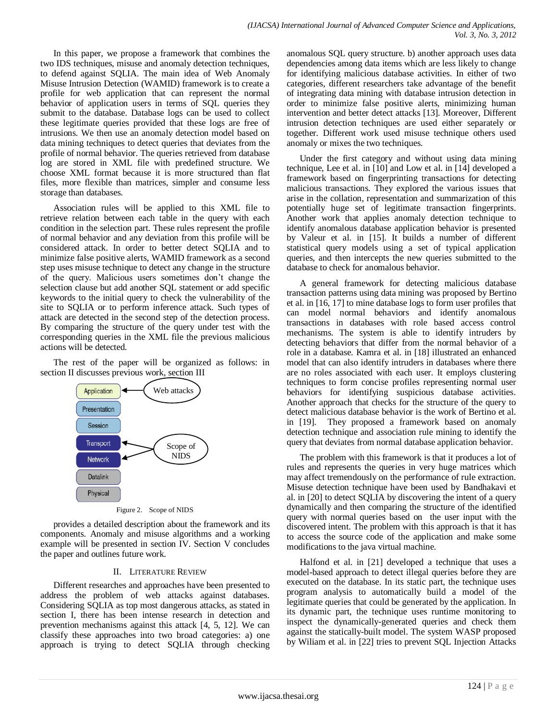In this paper, we propose a framework that combines the two IDS techniques, misuse and anomaly detection techniques, to defend against SQLIA. The main idea of Web Anomaly Misuse Intrusion Detection (WAMID) framework is to create a profile for web application that can represent the normal behavior of application users in terms of SQL queries they submit to the database. Database logs can be used to collect these legitimate queries provided that these logs are free of intrusions. We then use an anomaly detection model based on data mining techniques to detect queries that deviates from the profile of normal behavior. The queries retrieved from database log are stored in XML file with predefined structure. We choose XML format because it is more structured than flat files, more flexible than matrices, simpler and consume less storage than databases.

Association rules will be applied to this XML file to retrieve relation between each table in the query with each condition in the selection part. These rules represent the profile of normal behavior and any deviation from this profile will be considered attack. In order to better detect SQLIA and to minimize false positive alerts, WAMID framework as a second step uses misuse technique to detect any change in the structure of the query. Malicious users sometimes don't change the selection clause but add another SQL statement or add specific keywords to the initial query to check the vulnerability of the site to SQLIA or to perform inference attack. Such types of attack are detected in the second step of the detection process. By comparing the structure of the query under test with the corresponding queries in the XML file the previous malicious actions will be detected.

The rest of the paper will be organized as follows: in section II discusses previous work, section III



Figure 2. Scope of NIDS

provides a detailed description about the framework and its components. Anomaly and misuse algorithms and a working example will be presented in section IV. Section V concludes the paper and outlines future work.

# II. LITERATURE REVIEW

Different researches and approaches have been presented to address the problem of web attacks against databases. Considering SQLIA as top most dangerous attacks, as stated in section I, there has been intense research in detection and prevention mechanisms against this attack [4, 5, 12]. We can classify these approaches into two broad categories: a) one approach is trying to detect SQLIA through checking

anomalous SQL query structure. b) another approach uses data dependencies among data items which are less likely to change for identifying malicious database activities. In either of two categories, different researchers take advantage of the benefit of integrating data mining with database intrusion detection in order to minimize false positive alerts, minimizing human intervention and better detect attacks [13]. Moreover, Different intrusion detection techniques are used either separately or together. Different work used misuse technique others used anomaly or mixes the two techniques.

Under the first category and without using data mining technique, Lee et al. in [10] and Low et al. in [14] developed a framework based on fingerprinting transactions for detecting malicious transactions. They explored the various issues that arise in the collation, representation and summarization of this potentially huge set of legitimate transaction fingerprints. Another work that applies anomaly detection technique to identify anomalous database application behavior is presented by Valeur et al. in [15]. It builds a number of different statistical query models using a set of typical application queries, and then intercepts the new queries submitted to the database to check for anomalous behavior.

A general framework for detecting malicious database transaction patterns using data mining was proposed by Bertino et al. in [16, 17] to mine database logs to form user profiles that can model normal behaviors and identify anomalous transactions in databases with role based access control mechanisms. The system is able to identify intruders by detecting behaviors that differ from the normal behavior of a role in a database. Kamra et al. in [18] illustrated an enhanced model that can also identify intruders in databases where there are no roles associated with each user. It employs clustering techniques to form concise profiles representing normal user behaviors for identifying suspicious database activities. Another approach that checks for the structure of the query to detect malicious database behavior is the work of Bertino et al. in [19]. They proposed a framework based on anomaly detection technique and association rule mining to identify the query that deviates from normal database application behavior.

The problem with this framework is that it produces a lot of rules and represents the queries in very huge matrices which may affect tremendously on the performance of rule extraction. Misuse detection technique have been used by Bandhakavi et al. in [20] to detect SQLIA by discovering the intent of a query dynamically and then comparing the structure of the identified query with normal queries based on the user input with the discovered intent. The problem with this approach is that it has to access the source code of the application and make some modifications to the java virtual machine.

Halfond et al. in [21] developed a technique that uses a model-based approach to detect illegal queries before they are executed on the database. In its static part, the technique uses program analysis to automatically build a model of the legitimate queries that could be generated by the application. In its dynamic part, the technique uses runtime monitoring to inspect the dynamically-generated queries and check them against the statically-built model. The system WASP proposed by Wiliam et al. in [22] tries to prevent SQL Injection Attacks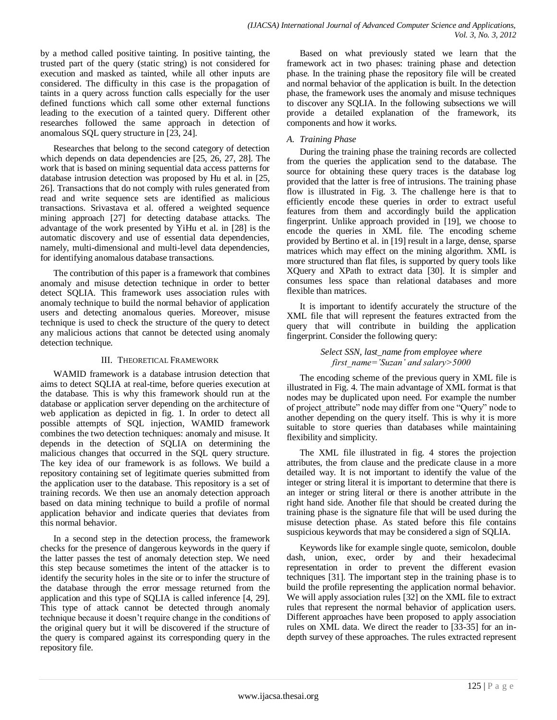by a method called positive tainting. In positive tainting, the trusted part of the query (static string) is not considered for execution and masked as tainted, while all other inputs are considered. The difficulty in this case is the propagation of taints in a query across function calls especially for the user defined functions which call some other external functions leading to the execution of a tainted query. Different other researches followed the same approach in detection of anomalous SQL query structure in [23, 24].

Researches that belong to the second category of detection which depends on data dependencies are [25, 26, 27, 28]. The work that is based on mining sequential data access patterns for database intrusion detection was proposed by Hu et al. in [25, 26]. Transactions that do not comply with rules generated from read and write sequence sets are identified as malicious transactions. Srivastava et al. offered a weighted sequence mining approach [27] for detecting database attacks. The advantage of the work presented by YiHu et al. in [28] is the automatic discovery and use of essential data dependencies, namely, multi-dimensional and multi-level data dependencies, for identifying anomalous database transactions.

The contribution of this paper is a framework that combines anomaly and misuse detection technique in order to better detect SQLIA. This framework uses association rules with anomaly technique to build the normal behavior of application users and detecting anomalous queries. Moreover, misuse technique is used to check the structure of the query to detect any malicious actions that cannot be detected using anomaly detection technique.

## III. THEORETICAL FRAMEWORK

WAMID framework is a database intrusion detection that aims to detect SQLIA at real-time, before queries execution at the database. This is why this framework should run at the database or application server depending on the architecture of web application as depicted in fig. 1. In order to detect all possible attempts of SQL injection, WAMID framework combines the two detection techniques: anomaly and misuse. It depends in the detection of SQLIA on determining the malicious changes that occurred in the SQL query structure. The key idea of our framework is as follows. We build a repository containing set of legitimate queries submitted from the application user to the database. This repository is a set of training records. We then use an anomaly detection approach based on data mining technique to build a profile of normal application behavior and indicate queries that deviates from this normal behavior.

In a second step in the detection process, the framework checks for the presence of dangerous keywords in the query if the latter passes the test of anomaly detection step. We need this step because sometimes the intent of the attacker is to identify the security holes in the site or to infer the structure of the database through the error message returned from the application and this type of SQLIA is called inference [4, 29]. This type of attack cannot be detected through anomaly technique because it doesn't require change in the conditions of the original query but it will be discovered if the structure of the query is compared against its corresponding query in the repository file.

Based on what previously stated we learn that the framework act in two phases: training phase and detection phase. In the training phase the repository file will be created and normal behavior of the application is built. In the detection phase, the framework uses the anomaly and misuse techniques to discover any SQLIA. In the following subsections we will provide a detailed explanation of the framework, its components and how it works.

# *A. Training Phase*

During the training phase the training records are collected from the queries the application send to the database. The source for obtaining these query traces is the database log provided that the latter is free of intrusions. The training phase flow is illustrated in Fig. 3. The challenge here is that to efficiently encode these queries in order to extract useful features from them and accordingly build the application fingerprint. Unlike approach provided in [19], we choose to encode the queries in XML file. The encoding scheme provided by Bertino et al. in [19] result in a large, dense, sparse matrices which may effect on the mining algorithm. XML is more structured than flat files, is supported by query tools like XQuery and XPath to extract data [30]. It is simpler and consumes less space than relational databases and more flexible than matrices.

It is important to identify accurately the structure of the XML file that will represent the features extracted from the query that will contribute in building the application fingerprint. Consider the following query:

> *Select SSN, last\_name from employee where first\_name='Suzan' and salary>5000*

The encoding scheme of the previous query in XML file is illustrated in Fig. 4. The main advantage of XML format is that nodes may be duplicated upon need. For example the number of project\_attribute" node may differ from one "Query" node to another depending on the query itself. This is why it is more suitable to store queries than databases while maintaining flexibility and simplicity.

The XML file illustrated in fig. 4 stores the projection attributes, the from clause and the predicate clause in a more detailed way. It is not important to identify the value of the integer or string literal it is important to determine that there is an integer or string literal or there is another attribute in the right hand side. Another file that should be created during the training phase is the signature file that will be used during the misuse detection phase. As stated before this file contains suspicious keywords that may be considered a sign of SQLIA.

Keywords like for example single quote, semicolon, double dash, union, exec, order by and their hexadecimal representation in order to prevent the different evasion techniques [31]. The important step in the training phase is to build the profile representing the application normal behavior. We will apply association rules [32] on the XML file to extract rules that represent the normal behavior of application users. Different approaches have been proposed to apply association rules on XML data. We direct the reader to [33-35] for an indepth survey of these approaches. The rules extracted represent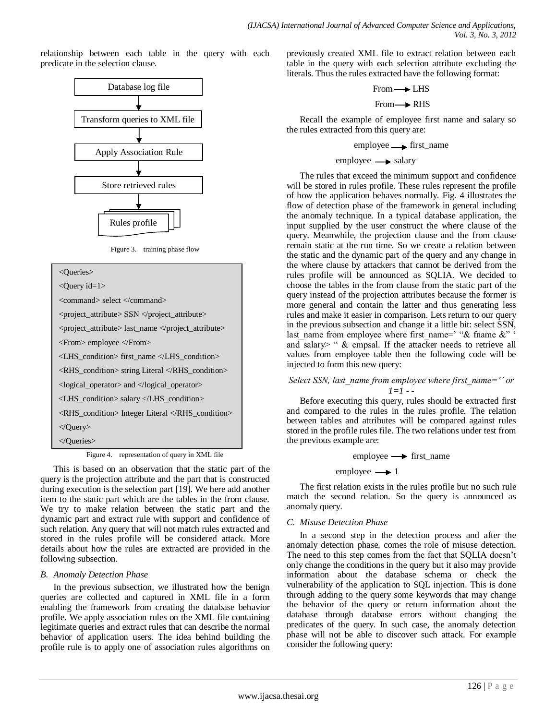relationship between each table in the query with each predicate in the selection clause.



Figure 3. training phase flow

<Queries> <Query id=1> <command> select </command> <project\_attribute> SSN </project\_attribute> <project\_attribute> last\_name </project\_attribute> <From> employee </From> <LHS\_condition> first\_name </LHS\_condition> <RHS\_condition> string Literal </RHS\_condition> <logical\_operator> and </logical\_operator> <LHS\_condition> salary </LHS\_condition> <RHS\_condition> Integer Literal </RHS\_condition> </Query> </Queries>

Figure 4. representation of query in XML file

This is based on an observation that the static part of the query is the projection attribute and the part that is constructed during execution is the selection part [19]. We here add another item to the static part which are the tables in the from clause. We try to make relation between the static part and the dynamic part and extract rule with support and confidence of such relation. Any query that will not match rules extracted and stored in the rules profile will be considered attack. More details about how the rules are extracted are provided in the following subsection.

# *B. Anomaly Detection Phase*

In the previous subsection, we illustrated how the benign queries are collected and captured in XML file in a form enabling the framework from creating the database behavior profile. We apply association rules on the XML file containing legitimate queries and extract rules that can describe the normal behavior of application users. The idea behind building the profile rule is to apply one of association rules algorithms on previously created XML file to extract relation between each table in the query with each selection attribute excluding the literals. Thus the rules extracted have the following format:

$$
From \longrightarrow LHS
$$

$$
From \longrightarrow RHS
$$

Recall the example of employee first name and salary so the rules extracted from this query are:

# $employee \longrightarrow$  first\_name

## $\text{employee} \longrightarrow \text{salary}$

The rules that exceed the minimum support and confidence will be stored in rules profile. These rules represent the profile of how the application behaves normally. Fig. 4 illustrates the flow of detection phase of the framework in general including the anomaly technique. In a typical database application, the input supplied by the user construct the where clause of the query. Meanwhile, the projection clause and the from clause remain static at the run time. So we create a relation between the static and the dynamic part of the query and any change in the where clause by attackers that cannot be derived from the rules profile will be announced as SQLIA. We decided to choose the tables in the from clause from the static part of the query instead of the projection attributes because the former is more general and contain the latter and thus generating less rules and make it easier in comparison. Lets return to our query in the previous subsection and change it a little bit: select SSN, last name from employee where first name=' " $\&$  fname  $\&$ " ' and salary> "  $\&$  empsal. If the attacker needs to retrieve all values from employee table then the following code will be injected to form this new query:

# *Select SSN, last\_name from employee where first\_name='' or 1=1 - -*

Before executing this query, rules should be extracted first and compared to the rules in the rules profile. The relation between tables and attributes will be compared against rules stored in the profile rules file. The two relations under test from the previous example are:

employee  $\longrightarrow$  first name

employee  $\longrightarrow$  1

The first relation exists in the rules profile but no such rule match the second relation. So the query is announced as anomaly query.

# *C. Misuse Detection Phase*

In a second step in the detection process and after the anomaly detection phase, comes the role of misuse detection. The need to this step comes from the fact that SQLIA doesn't only change the conditions in the query but it also may provide information about the database schema or check the vulnerability of the application to SQL injection. This is done through adding to the query some keywords that may change the behavior of the query or return information about the database through database errors without changing the predicates of the query. In such case, the anomaly detection phase will not be able to discover such attack. For example consider the following query: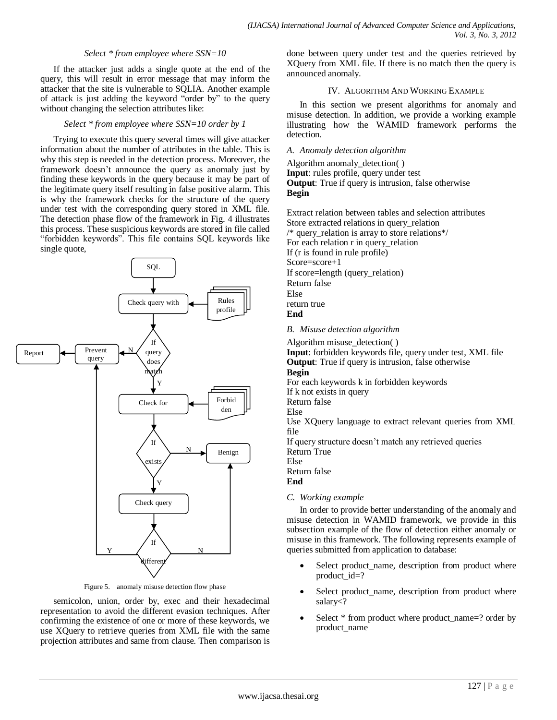## *Select \* from employee where SSN=10*

If the attacker just adds a single quote at the end of the query, this will result in error message that may inform the attacker that the site is vulnerable to SQLIA. Another example of attack is just adding the keyword "order by" to the query without changing the selection attributes like:

## *Select \* from employee where SSN=10 order by 1*

Trying to execute this query several times will give attacker information about the number of attributes in the table. This is why this step is needed in the detection process. Moreover, the framework doesn't announce the query as anomaly just by finding these keywords in the query because it may be part of the legitimate query itself resulting in false positive alarm. This is why the framework checks for the structure of the query under test with the corresponding query stored in XML file. The detection phase flow of the framework in Fig. 4 illustrates this process. These suspicious keywords are stored in file called "forbidden keywords". This file contains SQL keywords like single quote,



Figure 5. anomaly misuse detection flow phase

semicolon, union, order by, exec and their hexadecimal representation to avoid the different evasion techniques. After confirming the existence of one or more of these keywords, we use XQuery to retrieve queries from XML file with the same projection attributes and same from clause. Then comparison is done between query under test and the queries retrieved by XQuery from XML file. If there is no match then the query is announced anomaly.

## IV. ALGORITHM AND WORKING EXAMPLE

In this section we present algorithms for anomaly and misuse detection. In addition, we provide a working example illustrating how the WAMID framework performs the detection.

## *A. Anomaly detection algorithm*

Algorithm anomaly\_detection( ) **Input**: rules profile, query under test **Output**: True if query is intrusion, false otherwise **Begin**

Extract relation between tables and selection attributes Store extracted relations in query\_relation /\* query\_relation is array to store relations\*/ For each relation r in query\_relation If (r is found in rule profile) Score=score+1 If score=length (query\_relation) Return false Else return true **End**

## *B. Misuse detection algorithm*

Algorithm misuse detection()

**Input**: forbidden keywords file, query under test, XML file **Output**: True if query is intrusion, false otherwise **Begin** For each keywords k in forbidden keywords If k not exists in query Return false Else Use XQuery language to extract relevant queries from XML file If query structure doesn't match any retrieved queries Return True Else Return false **End**

## *C. Working example*

In order to provide better understanding of the anomaly and misuse detection in WAMID framework, we provide in this subsection example of the flow of detection either anomaly or misuse in this framework. The following represents example of queries submitted from application to database:

- Select product\_name, description from product where product\_id=?
- Select product name, description from product where salary<?
- Select \* from product where product\_name=? order by product\_name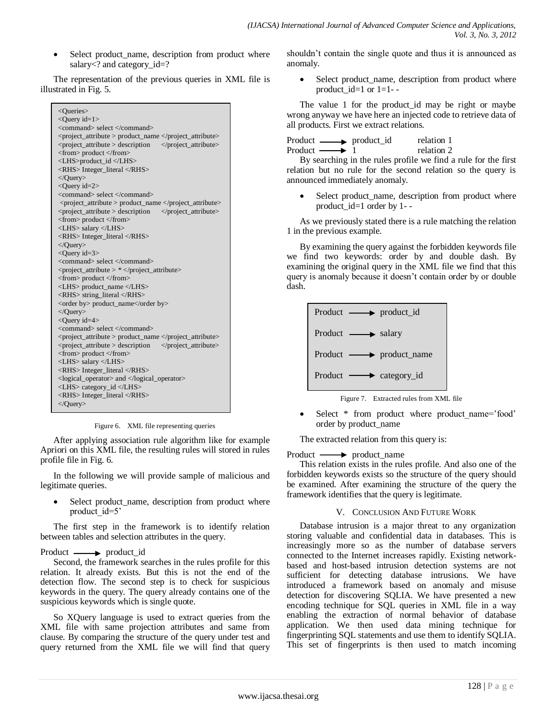• Select product\_name, description from product where salary<? and category\_id=?

The representation of the previous queries in XML file is illustrated in Fig. 5.



Figure 6. XML file representing queries

After applying association rule algorithm like for example Apriori on this XML file, the resulting rules will stored in rules profile file in Fig. 6.

In the following we will provide sample of malicious and legitimate queries.

Select product name, description from product where product id=5'

The first step in the framework is to identify relation between tables and selection attributes in the query.

## Product — product\_id

Second, the framework searches in the rules profile for this relation. It already exists. But this is not the end of the detection flow. The second step is to check for suspicious keywords in the query. The query already contains one of the suspicious keywords which is single quote.

So XQuery language is used to extract queries from the XML file with same projection attributes and same from clause. By comparing the structure of the query under test and query returned from the XML file we will find that query shouldn't contain the single quote and thus it is announced as anomaly.

 Select product\_name, description from product where product\_id=1 or  $1=1-$ 

The value 1 for the product\_id may be right or maybe wrong anyway we have here an injected code to retrieve data of all products. First we extract relations.

Product — product\_id relation 1 Product  $\longrightarrow$  1 relation 2

By searching in the rules profile we find a rule for the first relation but no rule for the second relation so the query is announced immediately anomaly.

• Select product name, description from product where product  $id=1$  order by 1--

As we previously stated there is a rule matching the relation 1 in the previous example.

By examining the query against the forbidden keywords file we find two keywords: order by and double dash. By examining the original query in the XML file we find that this query is anomaly because it doesn't contain order by or double dash.



Figure 7. Extracted rules from XML file

Select \* from product where product name='food' order by product\_name

The extracted relation from this query is:

Product — product\_name

This relation exists in the rules profile. And also one of the forbidden keywords exists so the structure of the query should be examined. After examining the structure of the query the framework identifies that the query is legitimate.

## V. CONCLUSION AND FUTURE WORK

Database intrusion is a major threat to any organization storing valuable and confidential data in databases. This is increasingly more so as the number of database servers connected to the Internet increases rapidly. Existing networkbased and host-based intrusion detection systems are not sufficient for detecting database intrusions. We have introduced a framework based on anomaly and misuse detection for discovering SQLIA. We have presented a new encoding technique for SQL queries in XML file in a way enabling the extraction of normal behavior of database application. We then used data mining technique for fingerprinting SQL statements and use them to identify SQLIA. This set of fingerprints is then used to match incoming